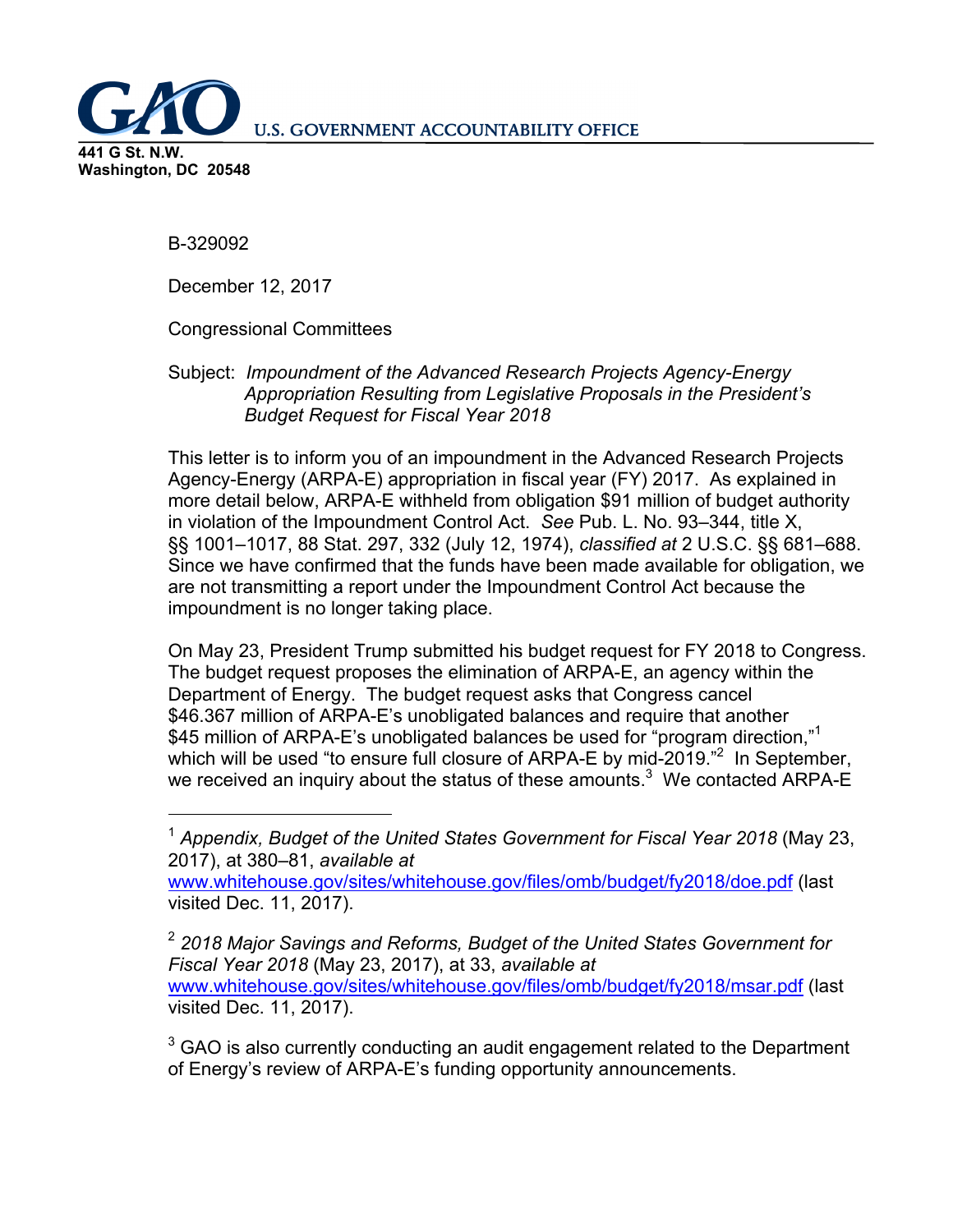**U.S. GOVERNMENT ACCOUNTABILITY OFFICE** 

**441 G St. N.W. Washington, DC 20548** 

 $\overline{a}$ 

B-329092

December 12, 2017

Congressional Committees

Subject: *Impoundment of the Advanced Research Projects Agency-Energy Appropriation Resulting from Legislative Proposals in the President's Budget Request for Fiscal Year 2018* 

This letter is to inform you of an impoundment in the Advanced Research Projects Agency-Energy (ARPA-E) appropriation in fiscal year (FY) 2017. As explained in more detail below, ARPA-E withheld from obligation \$91 million of budget authority in violation of the Impoundment Control Act. *See* Pub. L. No. 93–344, title X, §§ 1001–1017, 88 Stat. 297, 332 (July 12, 1974), *classified at* 2 U.S.C. §§ 681–688. Since we have confirmed that the funds have been made available for obligation, we are not transmitting a report under the Impoundment Control Act because the impoundment is no longer taking place.

On May 23, President Trump submitted his budget request for FY 2018 to Congress. The budget request proposes the elimination of ARPA-E, an agency within the Department of Energy. The budget request asks that Congress cancel \$46.367 million of ARPA-E's unobligated balances and require that another \$45 million of ARPA-E's unobligated balances be used for "program direction."<sup>1</sup> which will be used "to ensure full closure of ARPA-E by mid-2019." In September, we received an inquiry about the status of these amounts.<sup>3</sup> We contacted ARPA-E

 $3$  GAO is also currently conducting an audit engagement related to the Department of Energy's review of ARPA-E's funding opportunity announcements.

<sup>1</sup> *Appendix, Budget of the United States Government for Fiscal Year 2018* (May 23, 2017), at 380–81, *available at* 

www.whitehouse.gov/sites/whitehouse.gov/files/omb/budget/fy2018/doe.pdf (last visited Dec. 11, 2017).

<sup>2</sup> *2018 Major Savings and Reforms, Budget of the United States Government for Fiscal Year 2018* (May 23, 2017), at 33, *available at*  www.whitehouse.gov/sites/whitehouse.gov/files/omb/budget/fy2018/msar.pdf (last visited Dec. 11, 2017).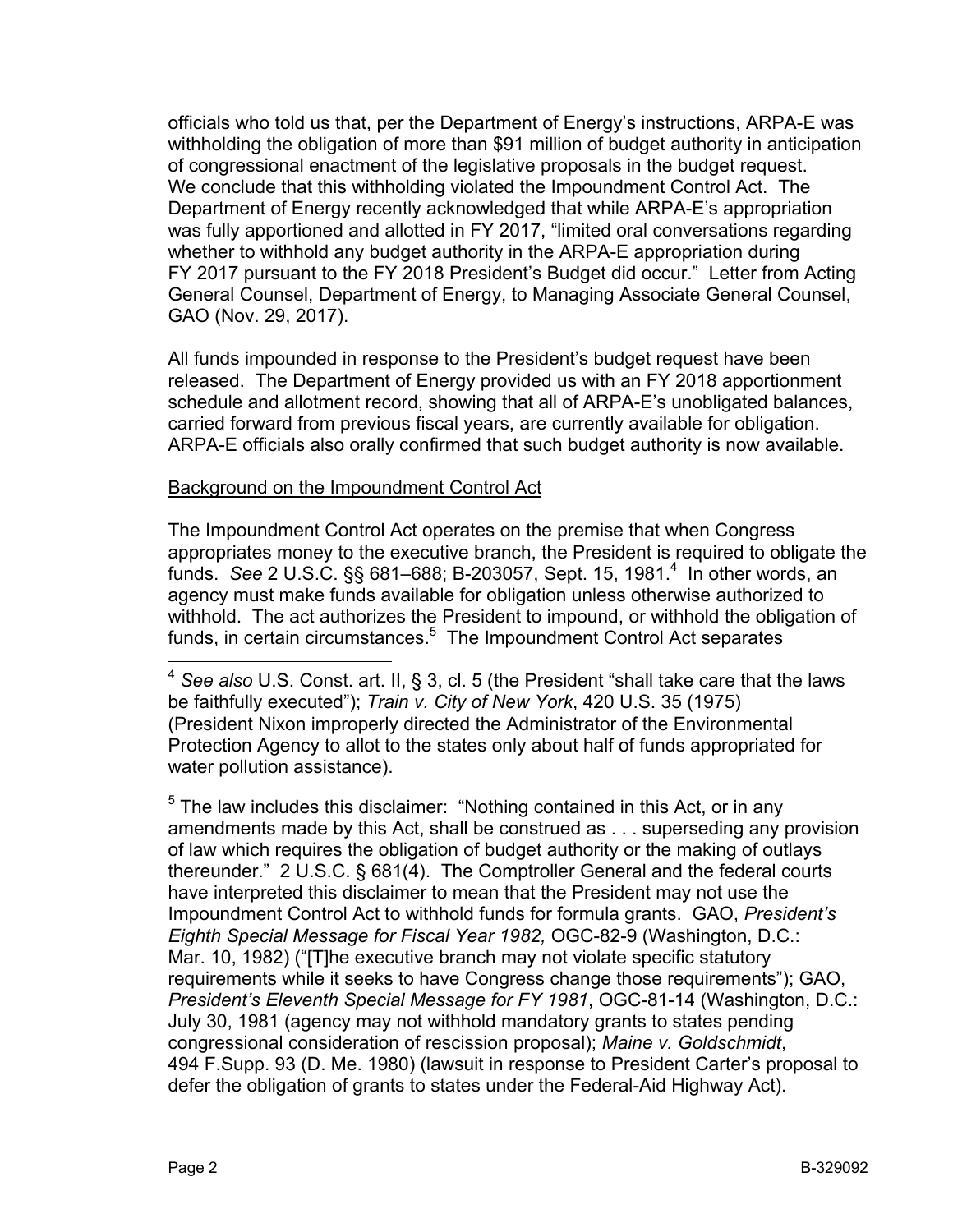officials who told us that, per the Department of Energy's instructions, ARPA-E was withholding the obligation of more than \$91 million of budget authority in anticipation of congressional enactment of the legislative proposals in the budget request. We conclude that this withholding violated the Impoundment Control Act. The Department of Energy recently acknowledged that while ARPA-E's appropriation was fully apportioned and allotted in FY 2017, "limited oral conversations regarding whether to withhold any budget authority in the ARPA-E appropriation during FY 2017 pursuant to the FY 2018 President's Budget did occur." Letter from Acting General Counsel, Department of Energy, to Managing Associate General Counsel, GAO (Nov. 29, 2017).

All funds impounded in response to the President's budget request have been released. The Department of Energy provided us with an FY 2018 apportionment schedule and allotment record, showing that all of ARPA-E's unobligated balances, carried forward from previous fiscal years, are currently available for obligation. ARPA-E officials also orally confirmed that such budget authority is now available.

## Background on the Impoundment Control Act

The Impoundment Control Act operates on the premise that when Congress appropriates money to the executive branch, the President is required to obligate the funds. *See* 2 U.S.C. §§ 681–688; B-203057, Sept. 15, 1981.4 In other words, an agency must make funds available for obligation unless otherwise authorized to withhold. The act authorizes the President to impound, or withhold the obligation of funds, in certain circumstances.<sup>5</sup> The Impoundment Control Act separates

 $5$  The law includes this disclaimer: "Nothing contained in this Act, or in any amendments made by this Act, shall be construed as . . . superseding any provision of law which requires the obligation of budget authority or the making of outlays thereunder." 2 U.S.C. § 681(4). The Comptroller General and the federal courts have interpreted this disclaimer to mean that the President may not use the Impoundment Control Act to withhold funds for formula grants. GAO, *President's Eighth Special Message for Fiscal Year 1982,* OGC-82-9 (Washington, D.C.: Mar. 10, 1982) ("[T]he executive branch may not violate specific statutory requirements while it seeks to have Congress change those requirements"); GAO, *President's Eleventh Special Message for FY 1981*, OGC-81-14 (Washington, D.C.: July 30, 1981 (agency may not withhold mandatory grants to states pending congressional consideration of rescission proposal); *Maine v. Goldschmidt*, 494 F.Supp. 93 (D. Me. 1980) (lawsuit in response to President Carter's proposal to defer the obligation of grants to states under the Federal-Aid Highway Act).

 $\overline{a}$ 

<sup>4</sup> *See also* U.S. Const. art. II, § 3, cl. 5 (the President "shall take care that the laws be faithfully executed"); *Train v. City of New York*, 420 U.S. 35 (1975) (President Nixon improperly directed the Administrator of the Environmental Protection Agency to allot to the states only about half of funds appropriated for water pollution assistance).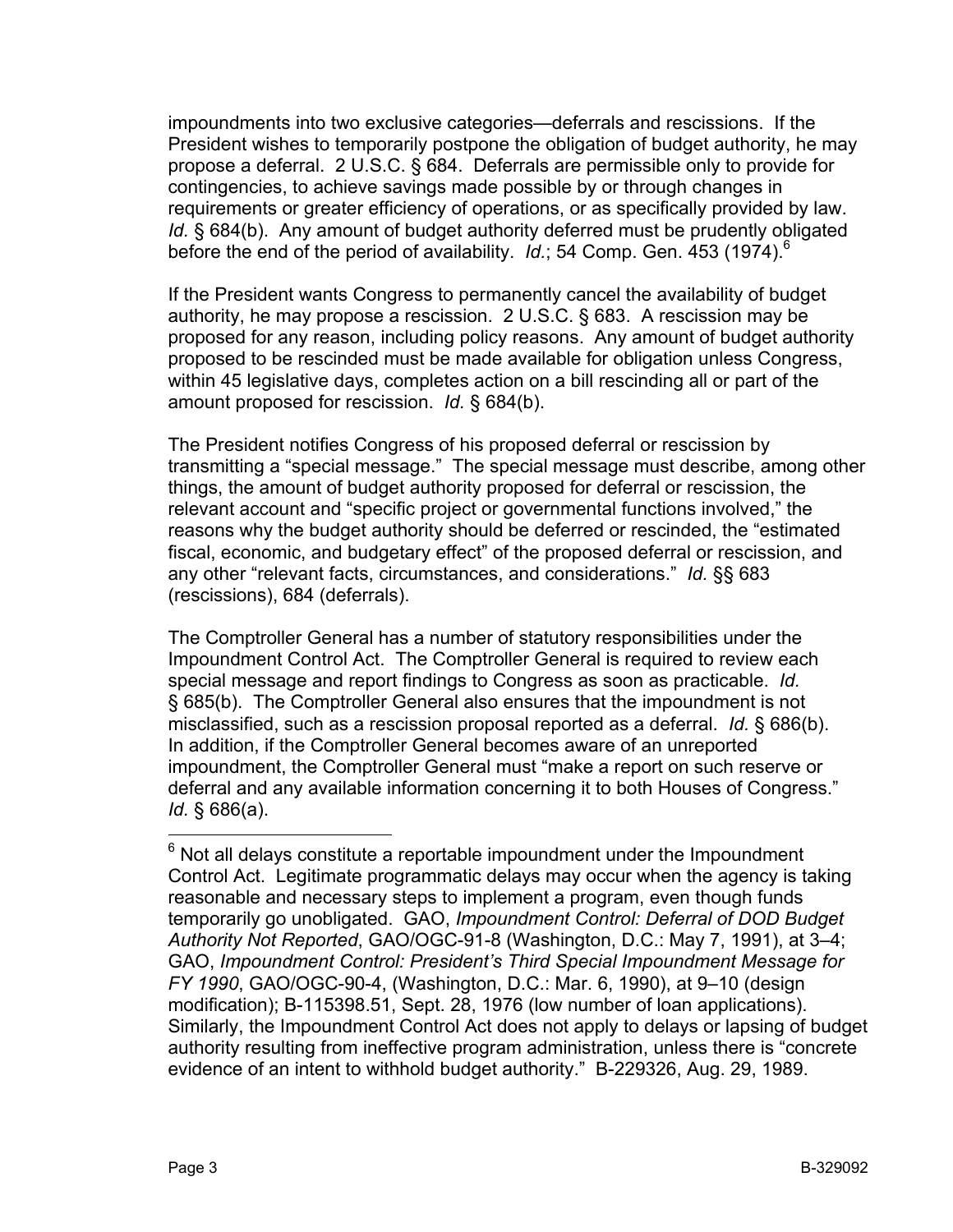impoundments into two exclusive categories—deferrals and rescissions. If the President wishes to temporarily postpone the obligation of budget authority, he may propose a deferral. 2 U.S.C. § 684. Deferrals are permissible only to provide for contingencies, to achieve savings made possible by or through changes in requirements or greater efficiency of operations, or as specifically provided by law. *Id.* § 684(b). Any amount of budget authority deferred must be prudently obligated before the end of the period of availability. *Id.*; 54 Comp. Gen. 453 (1974).<sup>6</sup>

If the President wants Congress to permanently cancel the availability of budget authority, he may propose a rescission. 2 U.S.C. § 683. A rescission may be proposed for any reason, including policy reasons. Any amount of budget authority proposed to be rescinded must be made available for obligation unless Congress, within 45 legislative days, completes action on a bill rescinding all or part of the amount proposed for rescission. *Id.* § 684(b).

The President notifies Congress of his proposed deferral or rescission by transmitting a "special message." The special message must describe, among other things, the amount of budget authority proposed for deferral or rescission, the relevant account and "specific project or governmental functions involved," the reasons why the budget authority should be deferred or rescinded, the "estimated fiscal, economic, and budgetary effect" of the proposed deferral or rescission, and any other "relevant facts, circumstances, and considerations." *Id.* §§ 683 (rescissions), 684 (deferrals).

The Comptroller General has a number of statutory responsibilities under the Impoundment Control Act. The Comptroller General is required to review each special message and report findings to Congress as soon as practicable. *Id.* § 685(b). The Comptroller General also ensures that the impoundment is not misclassified, such as a rescission proposal reported as a deferral. *Id.* § 686(b). In addition, if the Comptroller General becomes aware of an unreported impoundment, the Comptroller General must "make a report on such reserve or deferral and any available information concerning it to both Houses of Congress." *Id.* § 686(a).

 $\overline{a}$ 

 $6$  Not all delays constitute a reportable impoundment under the Impoundment Control Act. Legitimate programmatic delays may occur when the agency is taking reasonable and necessary steps to implement a program, even though funds temporarily go unobligated. GAO, *Impoundment Control: Deferral of DOD Budget Authority Not Reported*, GAO/OGC-91-8 (Washington, D.C.: May 7, 1991), at 3–4; GAO, *Impoundment Control: President's Third Special Impoundment Message for FY 1990*, GAO/OGC-90-4, (Washington, D.C.: Mar. 6, 1990), at 9–10 (design modification); B-115398.51, Sept. 28, 1976 (low number of loan applications). Similarly, the Impoundment Control Act does not apply to delays or lapsing of budget authority resulting from ineffective program administration, unless there is "concrete evidence of an intent to withhold budget authority." B-229326, Aug. 29, 1989.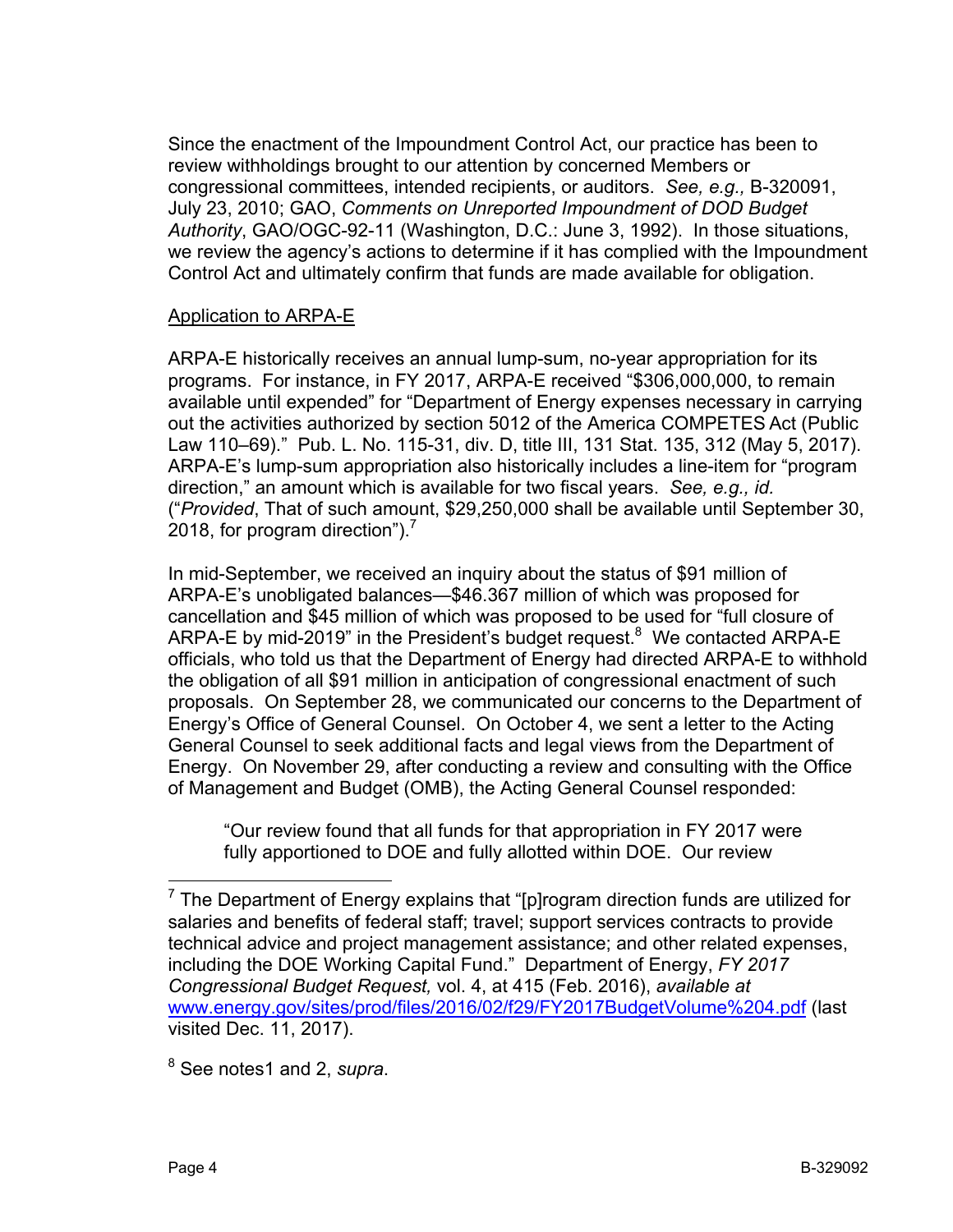Since the enactment of the Impoundment Control Act, our practice has been to review withholdings brought to our attention by concerned Members or congressional committees, intended recipients, or auditors. *See, e.g.,* B-320091, July 23, 2010; GAO, *Comments on Unreported Impoundment of DOD Budget Authority*, GAO/OGC-92-11 (Washington, D.C.: June 3, 1992). In those situations, we review the agency's actions to determine if it has complied with the Impoundment Control Act and ultimately confirm that funds are made available for obligation.

## Application to ARPA-E

ARPA-E historically receives an annual lump-sum, no-year appropriation for its programs. For instance, in FY 2017, ARPA-E received "\$306,000,000, to remain available until expended" for "Department of Energy expenses necessary in carrying out the activities authorized by section 5012 of the America COMPETES Act (Public Law 110–69)." Pub. L. No. 115-31, div. D, title III, 131 Stat. 135, 312 (May 5, 2017). ARPA-E's lump-sum appropriation also historically includes a line-item for "program direction," an amount which is available for two fiscal years. *See, e.g., id.* ("*Provided*, That of such amount, \$29,250,000 shall be available until September 30, 2018, for program direction").<sup>7</sup>

In mid-September, we received an inquiry about the status of \$91 million of ARPA-E's unobligated balances—\$46.367 million of which was proposed for cancellation and \$45 million of which was proposed to be used for "full closure of ARPA-E by mid-2019" in the President's budget request.<sup>8</sup> We contacted ARPA-E officials, who told us that the Department of Energy had directed ARPA-E to withhold the obligation of all \$91 million in anticipation of congressional enactment of such proposals. On September 28, we communicated our concerns to the Department of Energy's Office of General Counsel. On October 4, we sent a letter to the Acting General Counsel to seek additional facts and legal views from the Department of Energy. On November 29, after conducting a review and consulting with the Office of Management and Budget (OMB), the Acting General Counsel responded:

"Our review found that all funds for that appropriation in FY 2017 were fully apportioned to DOE and fully allotted within DOE. Our review

8 See notes1 and 2, *supra*.

 $\overline{a}$ 

<sup>&</sup>lt;sup>7</sup> The Department of Energy explains that "[p]rogram direction funds are utilized for salaries and benefits of federal staff; travel; support services contracts to provide technical advice and project management assistance; and other related expenses, including the DOE Working Capital Fund." Department of Energy, *FY 2017 Congressional Budget Request,* vol. 4, at 415 (Feb. 2016), *available at*  www.energy.gov/sites/prod/files/2016/02/f29/FY2017BudgetVolume%204.pdf (last visited Dec. 11, 2017).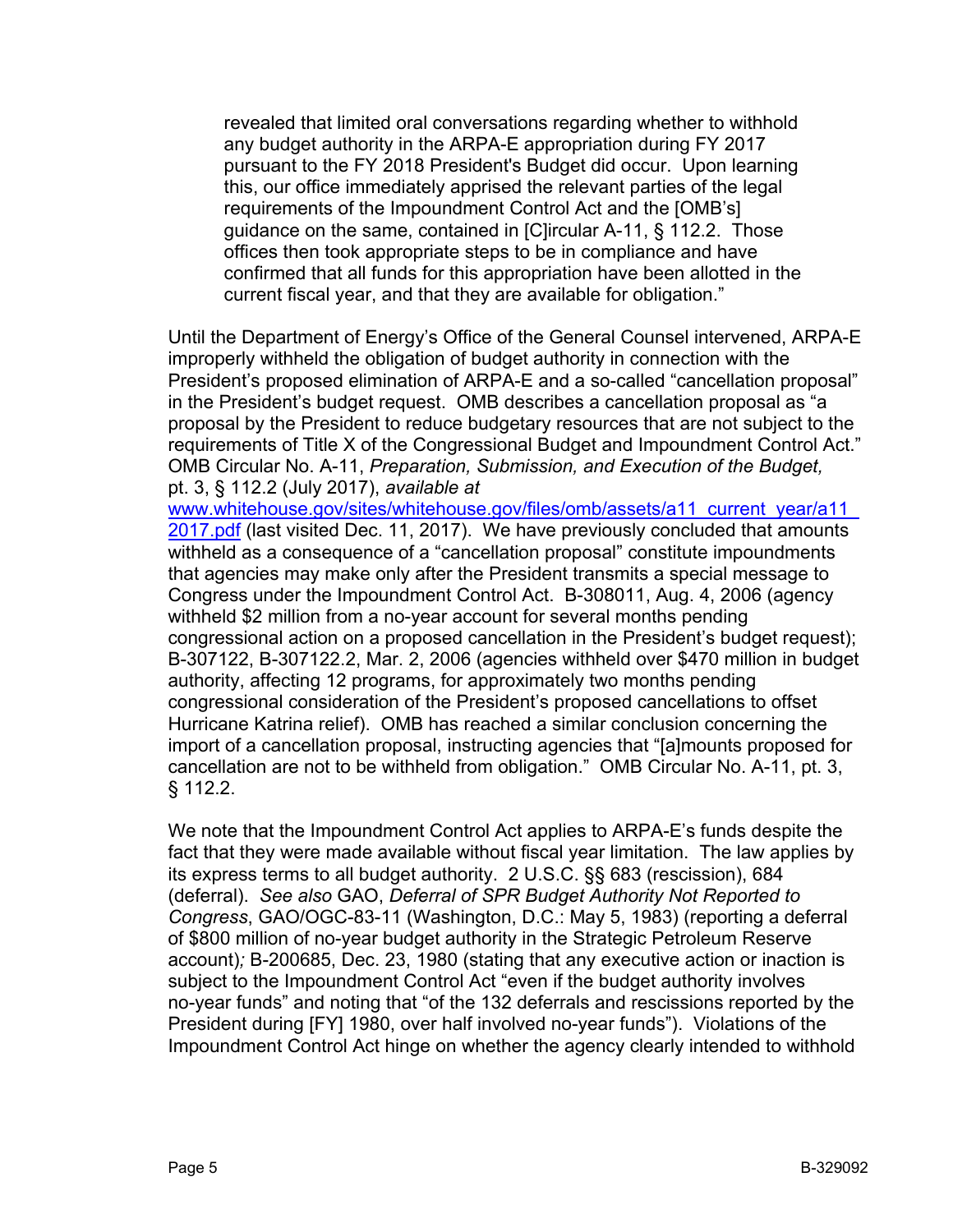revealed that limited oral conversations regarding whether to withhold any budget authority in the ARPA-E appropriation during FY 2017 pursuant to the FY 2018 President's Budget did occur. Upon learning this, our office immediately apprised the relevant parties of the legal requirements of the Impoundment Control Act and the [OMB's] guidance on the same, contained in [C]ircular A-11, § 112.2. Those offices then took appropriate steps to be in compliance and have confirmed that all funds for this appropriation have been allotted in the current fiscal year, and that they are available for obligation."

Until the Department of Energy's Office of the General Counsel intervened, ARPA-E improperly withheld the obligation of budget authority in connection with the President's proposed elimination of ARPA-E and a so-called "cancellation proposal" in the President's budget request. OMB describes a cancellation proposal as "a proposal by the President to reduce budgetary resources that are not subject to the requirements of Title X of the Congressional Budget and Impoundment Control Act." OMB Circular No. A-11, *Preparation, Submission, and Execution of the Budget,*  pt. 3, § 112.2 (July 2017), *available at* 

www.whitehouse.gov/sites/whitehouse.gov/files/omb/assets/a11\_current\_year/a11\_ 2017.pdf (last visited Dec. 11, 2017). We have previously concluded that amounts withheld as a consequence of a "cancellation proposal" constitute impoundments that agencies may make only after the President transmits a special message to Congress under the Impoundment Control Act. B-308011, Aug. 4, 2006 (agency withheld \$2 million from a no-year account for several months pending congressional action on a proposed cancellation in the President's budget request); B-307122, B-307122.2, Mar. 2, 2006 (agencies withheld over \$470 million in budget authority, affecting 12 programs, for approximately two months pending congressional consideration of the President's proposed cancellations to offset Hurricane Katrina relief). OMB has reached a similar conclusion concerning the import of a cancellation proposal, instructing agencies that "[a]mounts proposed for cancellation are not to be withheld from obligation."OMB Circular No. A-11, pt. 3, § 112.2.

We note that the Impoundment Control Act applies to ARPA-E's funds despite the fact that they were made available without fiscal year limitation. The law applies by its express terms to all budget authority. 2 U.S.C. §§ 683 (rescission), 684 (deferral). *See also* GAO, *Deferral of SPR Budget Authority Not Reported to Congress*, GAO/OGC-83-11 (Washington, D.C.: May 5, 1983) (reporting a deferral of \$800 million of no-year budget authority in the Strategic Petroleum Reserve account)*;* B-200685, Dec. 23, 1980 (stating that any executive action or inaction is subject to the Impoundment Control Act "even if the budget authority involves no-year funds" and noting that "of the 132 deferrals and rescissions reported by the President during [FY] 1980, over half involved no-year funds"). Violations of the Impoundment Control Act hinge on whether the agency clearly intended to withhold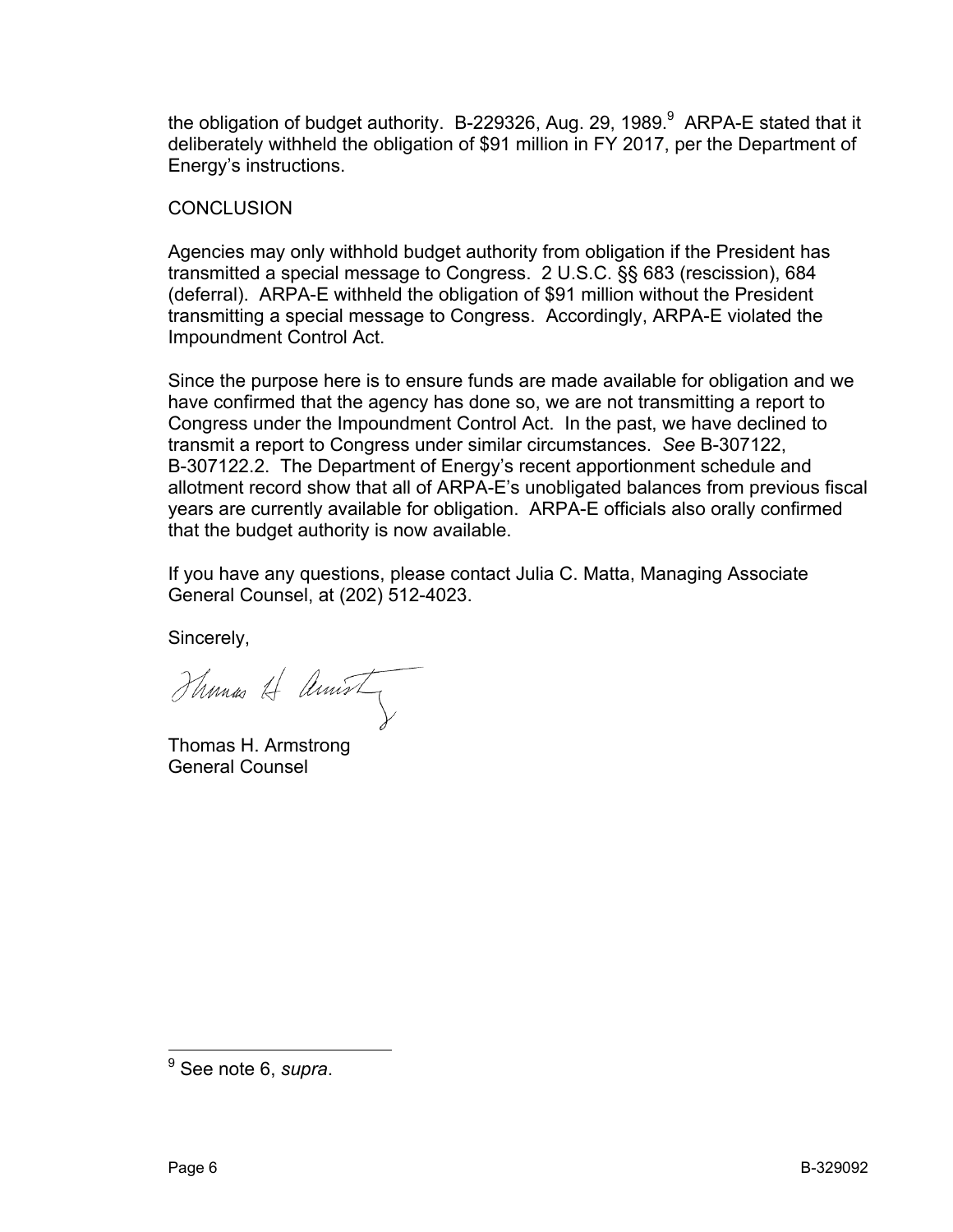the obligation of budget authority. B-229326, Aug. 29, 1989. $^9$  ARPA-E stated that it deliberately withheld the obligation of \$91 million in FY 2017, per the Department of Energy's instructions.

## **CONCLUSION**

Agencies may only withhold budget authority from obligation if the President has transmitted a special message to Congress. 2 U.S.C. §§ 683 (rescission), 684 (deferral). ARPA-E withheld the obligation of \$91 million without the President transmitting a special message to Congress. Accordingly, ARPA-E violated the Impoundment Control Act.

Since the purpose here is to ensure funds are made available for obligation and we have confirmed that the agency has done so, we are not transmitting a report to Congress under the Impoundment Control Act. In the past, we have declined to transmit a report to Congress under similar circumstances. *See* B-307122, B-307122.2. The Department of Energy's recent apportionment schedule and allotment record show that all of ARPA-E's unobligated balances from previous fiscal years are currently available for obligation. ARPA-E officials also orally confirmed that the budget authority is now available.

If you have any questions, please contact Julia C. Matta, Managing Associate General Counsel, at (202) 512-4023.

Sincerely,

Thomas A Amist

Thomas H. Armstrong General Counsel

 9 See note 6, *supra*.